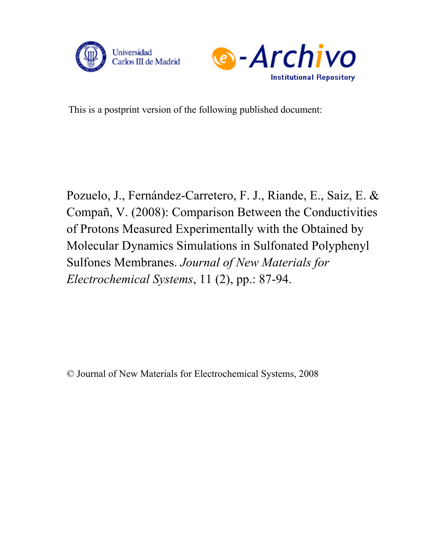



This is a postprint version of the following published document:

Pozuelo, J., Fernández-Carretero, F. J., Riande, E., Saiz, E. & Compañ, V. (2008): Comparison Between the Conductivities of Protons Measured Experimentally with the Obtained by Molecular Dynamics Simulations in Sulfonated Polyphenyl Sulfones Membranes. *Journal of New Materials for Electrochemical Systems*, 11 (2), pp.: 87-94.

© Journal of New Materials for Electrochemical Systems, 2008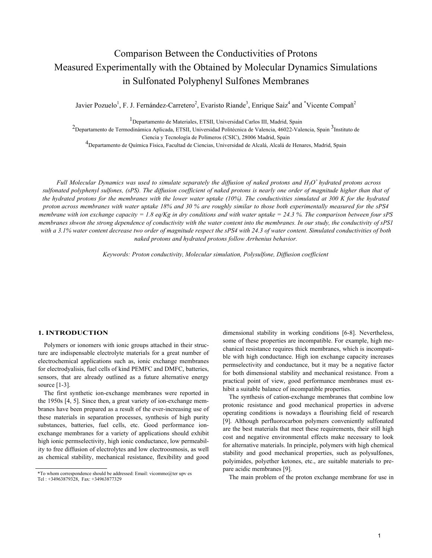# Comparison Between the Conductivities of Protons Measured Experimentally with the Obtained by Molecular Dynamics Simulations in Sulfonated Polyphenyl Sulfones Membranes

Javier Pozuelo<sup>1</sup>, F. J. Fernández-Carretero<sup>2</sup>, Evaristo Riande<sup>3</sup>, Enrique Saiz<sup>4</sup> and \*Vicente Compañ<sup>2</sup>

1Departamento de Materiales, ETSII, Universidad Carlos III, Madrid, Spain

<sup>2</sup>Departamento de Termodinámica Aplicada, ETSII, Universidad Politécnica de Valencia, 46022-Valencia, Spain <sup>3</sup>Instituto de Ciencia y Tecnología de Polímeros (CSIC), 28006 Madrid, Spain

<sup>4</sup>Departamento de Química Física, Facultad de Ciencias, Universidad de Alcalá, Alcalá de Henares, Madrid, Spain

*Full Molecular Dynamics was used to simulate separately the diffusion of naked protons and H3O <sup>+</sup>hydrated protons across sulfonated polyphenyl sulfones, (sPS). The diffusion coefficient of naked protons is nearly one order of magnitude higher than that of the hydrated protons for the membranes with the lower water uptake (10%). The conductivities simulated at 300 K for the hydrated proton across membranes with water uptake 18% and 30 % are roughly similar to those both experimentally measured for the sPS4 membrane with ion exchange capacity = 1.8 eq/Kg in dry conditions and with water uptake = 24.3 %. The comparison between four sPS membranes shwon the strong dependence of conductivity with the water content into the membranes. In our study, the conductivity of sPS1 with a 3.1% water content decrease two order of magnitude respect the sPS4 with 24.3 of water content. Simulated conductivities of both naked protons and hydrated protons follow Arrhenius behavior.*

*Keywords: Proton conductivity, Molecular simulation, Polysulfone, Diffusion coefficient* 

#### **1. INTRODUCTION**

Polymers or ionomers with ionic groups attached in their structure are indispensable electrolyte materials for a great number of electrochemical applications such as, ionic exchange membranes for electrodyalisis, fuel cells of kind PEMFC and DMFC, batteries, sensors, that are already outlined as a future alternative energy source [1-3].

The first synthetic ion-exchange membranes were reported in the 1950s [4, 5]. Since then, a great variety of ion-exchange membranes have been prepared as a result of the ever-increasing use of these materials in separation processes, synthesis of high purity substances, batteries, fuel cells, etc. Good performance ionexchange membranes for a variety of applications should exhibit high ionic permselectivity, high ionic conductance, low permeability to free diffusion of electrolytes and low electroosmosis, as well as chemical stability, mechanical resistance, flexibility and good dimensional stability in working conditions [6-8]. Nevertheless, some of these properties are incompatible. For example, high mechanical resistance requires thick membranes, which is incompatible with high conductance. High ion exchange capacity increases permselectivity and conductance, but it may be a negative factor for both dimensional stability and mechanical resistance. From a practical point of view, good performance membranes must exhibit a suitable balance of incompatible properties.

The synthesis of cation-exchange membranes that combine low protonic resistance and good mechanical properties in adverse operating conditions is nowadays a flourishing field of research [9]. Although perfluorocarbon polymers conveniently sulfonated are the best materials that meet these requirements, their still high cost and negative environmental effects make necessary to look for alternative materials. In principle, polymers with high chemical stability and good mechanical properties, such as polysulfones, polyimides, polyether ketones, etc., are suitable materials to prepare acidic membranes [9].

<sup>\*</sup>To whom correspondence should be addressed: Email: vicommo@ter upv es<br>Tel : +34963879328 Fax: +34963877329 The main problem of the proton exchange membrane for use in Tel : +34963879328, Fax: +34963877329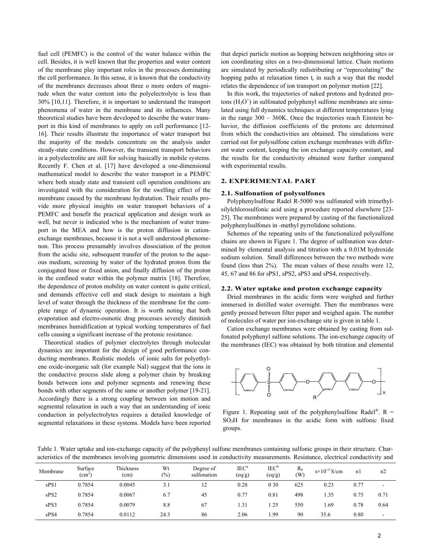fuel cell (PEMFC) is the control of the water balance within the cell. Besides, it is well known that the properties and water content of the membrane play important roles in the processes dominating the cell performance. In this sense, it is known that the conductivity of the membranes decreases about three o more orders of magnitude when the water content into the polyelectrolyte is less than 30% [10,11]. Therefore, it is important to understand the transport phenomena of water in the membrane and its influences. Many theoretical studies have been developed to describe the water transport in this kind of membranes to apply on cell performance [12- 16]. Their results illustrate the importance of water transport but the majority of the models concentrate on the analysis under steady-state conditions. However, the transient transport behaviors in a polyelectrolite are still for solving basically in mobile systems. Recently F. Chen et al. [17] have developed a one-dimensional mathematical model to describe the water transport in a PEMFC where both steady state and transient cell operation conditions are investigated with the consideration for the swelling effect of the membrane caused by the membrane hydratation. Their results provide more physical insights on water transport behaviors of a PEMFC and benefit the practical application and design work as well, but never is indicated who is the mechanism of water transport in the MEA and how is the proton diffusion in cationexchange membranes, because it is not a well understood phenomenon. This process presumably involves dissociation of the proton from the acidic site, subsequent transfer of the proton to the aqueous medium, screening by water of the hydrated proton from the conjugated base or fixed anion, and finally diffusion of the proton in the confined water within the polymer matrix [18]. Therefore, the dependence of proton mobility on water content is quite critical, and demands effective cell and stack design to maintain a high level of water through the thickness of the membrane for the complete range of dynamic operation. It is worth noting that both evaporation and electro-osmotic drag processes severely diminish membranes humidification at typical working temperatures of fuel cells causing a significant increase of the protonic resistance.

Theoretical studies of polymer electrolytes through molecular dynamics are important for the design of good performance conducting membranes. Realistic models of ionic salts for polyethylene oxide-inorganic salt (for example NaI) suggest that the ions in the conductive process slide along a polymer chain by breaking bonds between ions and polymer segments and renewing these bonds with other segments of the same or another polymer [19-21]. Accordingly there is a strong coupling between ion motion and segmental relaxation in such a way that an understanding of ionic conduction in polyelectrolytes requires a detailed knowledge of segmental relaxations in these systems. Models have been reported that depict particle motion as hopping between neighboring sites or ion coordinating sites on a two-dimensional lattice. Chain motions are simulated by periodically redistributing or "repercolating" the hopping paths at relaxation times  $t_r$  in such a way that the model relates the dependence of ion transport on polymer motion [22].

In this work, the trajectories of naked protons and hydrated protons  $(H<sub>3</sub>O<sup>+</sup>)$  in sulfonated polyphenyl sulfone membranes are simulated using full dynamics techniques at different temperatures lying in the range 300 – 360K. Once the trajectories reach Einstein behavior, the diffusion coefficients of the protons are determined from which the conductivities are obtained. The simulations were carried out for polysulfone cation exchange membranes with different water content, keeping the ion exchange capacity constant, and the results for the conductivity obtained were further compared with experimental results.

## **2. EXPERIMENTAL PART**

#### **2.1. Sulfonation of polysulfones**

Polyphenylsulfone Radel R-5000 was sulfonated with trimethylsilylchlorosulfonic acid using a procedure reported elsewhere [23- 25]. The membranes were prepared by casting of the functionalized polyphenylsulfones in -methyl pyrrolidone solutions.

Schemes of the repeating units of the functionalized polysulfone chains are shown in Figure 1. The degree of sulfonation was determined by elemental analysis and titration with a 0.01M hydroxide sodium solution. Small differences between the two methods were found (less than 2%). The mean values of these results were 12, 45, 67 and 86 for sPS1, sPS2, sPS3 and sPS4, respectively.

#### **2.2. Water uptake and proton exchange capacity**

Dried membranes in the acidic form were weighed and further immersed in distilled water overnight. Then the membranes were gently pressed between filter paper and weighed again. The number of molecules of water per ion-exchange site is given in table 1.

Cation exchange membranes were obtained by casting from sulfonated polyphenyl sulfone solutions. The ion-exchange capacity of the membranes (IEC) was obtained by both titration and elemental



Figure 1. Repeating unit of the polyphenylsulfone Radel<sup>®</sup>. R =  $SO<sub>3</sub>H$  for membranes in the acidic form with sulfonic fixed groups.

Table 1. Water uptake and ion-exchange capacity of the polyphenyl sulfone membranes containing sulfonic groups in their structure. Characteristics of the membranes involving geometric dimensions used in conductivity measurements. Resistance, electrical conductivity and

| Membrane | Surface<br>$\text{ (cm}^2)$ | Thickness<br>(cm) | Wt<br>$(\% )$ | Degree of<br>sulfonation | $IEC^a$<br>$\left(\frac{eq}{g}\right)$ | IEC <sup>b</sup><br>(eq/g) | $R_0$<br>(W | $s \times 10^{+5}$ S/cm | n1   | n2   |
|----------|-----------------------------|-------------------|---------------|--------------------------|----------------------------------------|----------------------------|-------------|-------------------------|------|------|
| sPS1     | 0.7854                      | 0.0045            | 3.1           | 12                       | 0.28                                   | 0 30                       | 625         | 0.23                    | 0.77 | -    |
| sPS2     | 0.7854                      | 0.0067            | 6.7           | 45                       | 0.77                                   | 0.81                       | 498         | 1.35                    | 0.75 | 0.71 |
| sPS3     | 0.7854                      | 0.0079            | 8.8           | 67                       | 1.31                                   | 125                        | 550         | . 69                    | 0.78 | 0.64 |
| sPS4     | 0.7854                      | 0.0112            | 24.3          | 86                       | 2.06                                   | .99                        | 90          | 35.6                    | 0.80 |      |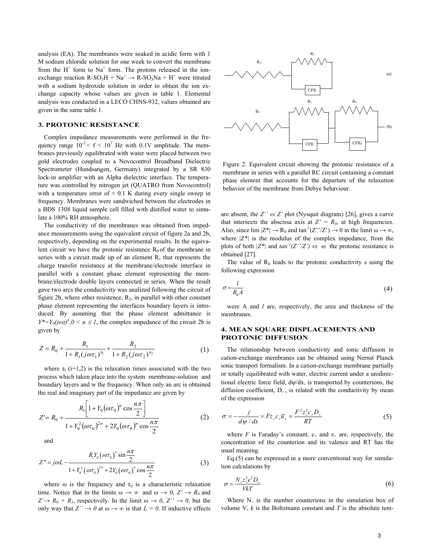analysis (EA). The membranes were soaked in acidic form with 1 M sodium chloride solution for one week to convert the membrane from the  $H^+$  form to Na<sup>+</sup> form. The protons released in the ionexchange reaction  $R-SO_3H + Na^+ \rightarrow R-SO_3Na + H^+$  were titrated with a sodium hydroxide solution in order to obtain the ion exchange capacity whose values are given in table 1. Elemental analysis was conducted in a LECO CHNS-932, values obtained are given in the same table 1.

### **3. PROTONIC RESISTANCE**

Complex impedance measurements were performed in the frequency range  $10^{-2} < f < 10^{7}$  Hz with 0.1V amplitude. The membranes previously equilibrated with water were placed between two gold electrodes coupled to a Novocontrol Broadband Dielectric Spectrometer (Hundsangen, Germany) integrated by a SR 830 lock-in amplifier with an Alpha dielectric interface. The temperature was controlled by nitrogen jet (QUATRO from Novocontrol) with a temperature error of  $\approx 0.1$  K during every single sweep in frequency. Membranes were sandwiched between the electrodes in a BDS 1308 liquid sample cell filled with distilled water to simulate a 100% RH atmosphere.

The conductivity of the membranes was obtained from impedance measurements using the equivalent circuit of figure 2a and 2b, respectively, depending on the experimental results. In the equivalent circuit we have the protonic resistance  $R_0$  of the membrane in series with a circuit made up of an element  $R_1$  that represents the charge transfer resistance at the membrane/electrode interface in parallel with a constant phase element representing the membrane/electrode double layers connected in series. When the result gave two arcs the conductivity was analized following the circuit of figure 2b, where other resistence,  $R_2$ , in parallel with other constant phase element representing the interfaces boundary layers is introduced. By assuming that the phase element admittance is  $Y^* = Y_0(j\omega \tau)^n$ ,  $0 \le n \le 1$ , the complex impedance of the circuit 2b is given by

$$
Z = R_0 + \frac{R_1}{1 + R_1 (j\omega\tau_1)^{n_1}} + \frac{R_2}{1 + R_2 (j\omega\tau_2)^{n_2}}
$$
(1)

where  $\tau_1$  (i=1,2) is the relaxation times associated with the two process which taken place into the system membrane-solution and boundary layers and w the frequency. When only an arc is obtained the real and imaginary part of the impedance are given by

$$
Z' = R_0 + \frac{R_1 \left[1 + Y_0 (\omega \tau_0)^n \cos \frac{n \pi}{2}\right]}{1 + Y_0^2 (\omega \tau_0)^{2n} + 2Y_0 (\omega \tau_0)^n \cos \frac{n \pi}{2}}
$$
(2)

and

$$
Z'' = j\omega L - \frac{R_1 Y_0 (\omega \tau_0)^n \sin \frac{n\pi}{2}}{1 + Y_0^2 (\omega \tau_0)^{2n} + 2Y_0 (\omega \tau_0)^n \cos \frac{n\pi}{2}}
$$
(3)

where  $\omega$  is the frequency and  $\tau_0$  is a characteristic relaxation time. Notice that in the limits  $\omega \to \infty$  and  $\omega \to 0$ ,  $Z' \to R_0$  and  $Z' \rightarrow R_0 + R_1$ , respectively. In the limit  $\omega \rightarrow 0$ ,  $Z'' \rightarrow 0$ , but the only way that  $Z'' \to 0$  at  $\omega \to \infty$  is that  $L = 0$ . If inductive effects



Figure 2. Equivalent circuit showing the protonic resistance of a membrane in series with a parallel RC circuit containing a constant phase element that accounts for the departure of the relaxation behavior of the membrane from Debye behaviour.

are absent, the *Z'' vs Z'* plot (Nysquit diagram) [26], gives a curve that intersects the abscissa axis at  $Z' = R_0$ , at high frequencies. Also, since  $\lim |Z^*| \to R_0$  and  $\tan^{-1}(Z^*/Z^*) \to 0$  in the limit  $\omega \to \infty$ , where  $|Z^*|$  is the modulus of the complex impedance, from the plots of both  $|Z^*|$  and  $tan^{-1}(Z'/Z')$  *vs*  $\omega$  the protonic resistance is obtained [27].

The value of  $R_0$  leads to the protonic conductivity s using the following expression

$$
\sigma = \frac{l}{R_0 A} \tag{4}
$$

were A and *l* are, respectively, the area and thickness of the membranes.

# **4. MEAN SQUARE DISPLACEMENTS AND PROTONIC DIFFUSION**

The relationship between conductivity and ionic diffusion in cation-exchange membranes can be obtained using Nernst Planck ionic transport formalism. In a cation-exchange membrane partially or totally equilibrated with water, electric current under a unidirectional electric force field, dψ/dx, is transported by counterions, the diffusion coefficient,  $D_{+}$ , is related with the conductivity by mean of the expression

$$
\sigma = -\frac{j}{d\psi/dx} = Fz_{+}c_{+}\overline{u}_{+} = \frac{F^{2}z_{+}^{2}c_{+}D_{+}}{RT}
$$
(5)

where  $F$  is Faraday's constant,  $c_{+}$  and  $z_{+}$  are, respectively, the concentration of the counterion and its valence and RT has the usual meaning.

Eq.(5) can be expressed in a more conventional way for simulation calculations by

$$
\sigma = \frac{N_+ z_+^2 e^2 D_+}{V k T} \tag{6}
$$

Where  $N_{+}$  is the number counterions in the simulation box of volume V, *k* is the Boltzmann constant and *T* is the absolute tem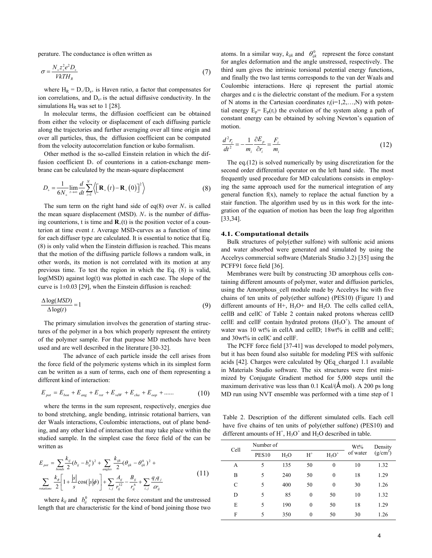perature. The conductance is often written as

$$
\sigma = \frac{N_{+}z_{+}^{2}e^{2}D_{+}}{VKTH_{R}}
$$
\n<sup>(7)</sup>

where  $H_R = D_{+}/D_{s+}$  is Haven ratio, a factor that compensates for ion correlations, and  $D_{s+}$  is the actual diffusive conductivity. In the simulations  $H_R$  was set to 1 [28].

In molecular terms, the diffusion coefficient can be obtained from either the velocity or displacement of each diffusing particle along the trajectories and further averaging over all time origin and over all particles, thus, the diffusion coefficient can be computed from the velocity autocorrelation function or kubo formalism.

Other method is the so-called Einstein relation in which the diffusion coefficient  $D_{+}$  of counterions in a cation-exchange membrane can be calculated by the mean-square displacement

$$
D_{+} = \frac{1}{6N_{+}} \lim_{t \to \infty} \frac{d}{dt} \sum_{i=1}^{N} \left\langle \left[ \mathbf{R}_{+}(t) - \mathbf{R}_{+}(0) \right]^{2} \right\rangle \tag{8}
$$

The sum term on the right hand side of eq(8) over  $N_{+}$  is called the mean square displacement (MSD).  $N_{+}$  is the number of diffusing counterions, t is time and  $\mathbf{R}_+(t)$  is the position vector of a counterion at time event *t*. Average MSD-curves as a function of time for each diffuser type are calculated. It is essential to notice that Eq. (8) is only valid when the Einstein diffusion is reached. This means that the motion of the diffusing particle follows a random walk, in other words, its motion is not correlated with its motion at any previous time. To test the region in which the Eq. (8) is valid, log(MSD) against log(t) was plotted in each case. The slope of the curve is  $1\pm0.03$  [29], when the Einstein diffusion is reached:

$$
\frac{\Delta \log(MSD)}{\Delta \log(t)} = 1\tag{9}
$$

The primary simulation involves the generation of starting structures of the polymer in a box which properly represent the entirety of the polymer sample. For that purpose MD methods have been used and are well described in the literature [30-32].

The advance of each particle inside the cell arises from the force field of the polymeric systems which in its simplest form can be written as a sum of terms, each one of them representing a different kind of interaction:

$$
E_{\text{pot}} = E_{\text{bon}} + E_{\text{ang}} + E_{\text{rot}} + E_{\text{vdW}} + E_{\text{cha}} + E_{\text{oop}} + \dots \tag{10}
$$

where the terms in the sum represent, respectively, energies due to bond stretching, angle bending, intrinsic rotational barriers, van der Waals interactions, Coulombic interactions, out of plane bending, and any other kind of interaction that may take place within the studied sample. In the simplest case the force field of the can be written as

$$
E_{\text{pot}} = \sum_{\text{bonds}} \frac{k_{ij}}{2} (b_{ij} - b_{ij}^0)^2 + \sum_{\text{angles}} \frac{k_{ijk}}{2} (\theta_{ijk} - \theta_{ijk}^0)^2 +
$$
  

$$
\sum_{\text{rotations}} \frac{k_{\phi}}{2} \left[ 1 + \frac{|s|}{s} \cos(|s|\phi) \right] + \sum_{i,j} \frac{A_{ij}}{r_{ij}^{12}} - \frac{B_{ij}}{r_{ij}^6} + \sum_{i,j} \frac{q_i q_j}{\epsilon r_{ij}}
$$
(11)

where  $k_{ij}$  and  $b_{ij}^0$  represent the force constant and the unstressed length that are characteristic for the kind of bond joining those two

atoms. In a similar way,  $k_{ijk}$  and  $\theta_{ijk}^0$  represent the force constant for angles deformation and the angle unstressed, respectively. The third sum gives the intrinsic torsional potential energy functions, and finally the two last terms corresponds to the van der Waals and Coulombic interactions. Here qi represent the partial atomic charges and ε is the dielectric constant of the medium. For a system of N atoms in the Cartesian coordinates  $r_i(i=1,2,...,N)$  with potential energy  $E_p = E_p(r_i)$  the evolution of the system along a path of constant energy can be obtained by solving Newton's equation of motion.

$$
\frac{d^2r_i}{dt^2} = -\frac{1}{m_i} \frac{\partial E_p}{\partial r_i} = \frac{F_i}{m_i}
$$
\n(12)

The eq.(12) is solved numerically by using discretization for the second order differential operator on the left hand side. The most frequently used procedure for MD calculations consists in employing the same approach used for the numerical integration of any general function  $f(x)$ , namely to replace the actual function by a stair function. The algorithm used by us in this work for the integration of the equation of motion has been the leap frog algorithm [33,34].

#### **4.1. Computational details**

Bulk structures of poly(ether sulfone) with sulfonic acid anions and water absorbed were generated and simulated by using the Accelrys commercial software (Materials Studio 3.2) [35] using the PCFF91 force field [36].

Membranes were built by constructing 3D amorphous cells containing different amounts of polymer, water and diffusion particles, using the Amorphous cell module made by Accelrys Inc with five chains of ten units of poly(ether sulfone) (PES10) (Figure 1) and different amounts of  $H^+$ ,  $H_3O^+$  and  $H_2O$ . The cells called cellA, cellB and cellC of Table 2 contain naked protons whereas cellD cellE and cellF contain hydrated protons  $(H<sub>3</sub>O<sup>+</sup>)$ . The amount of water was 10 wt% in cellA and cellD; 18wt% in cellB and cellE; and 30wt% in cellC and cellF.

The PCFF force field [37-41] was developed to model polymers, but it has been found also suitable for modeling PES with sulfonic acids [42]. Charges were calculated by QEq\_charged 1.1 available in Materials Studio software. The six structures were first minimized by Conjugate Gradient method for 5,000 steps until the maximum derivative was less than  $0.1$  Kcal/( $\AA$  mol). A 200 ps long MD run using NVT ensemble was performed with a time step of 1

Table 2. Description of the different simulated cells. Each cell have five chains of ten units of poly(ether sulfone) (PES10) and different amounts of  $H^+$ ,  $H_3O^+$  and  $H_2O$  described in table.

| Cell | Number of    | Wt%              | Density        |              |          |            |  |
|------|--------------|------------------|----------------|--------------|----------|------------|--|
|      | <b>PES10</b> | H <sub>2</sub> O | $H^+$          | $H_3O^+$     | of water | $(g/cm^3)$ |  |
| А    | 5            | 135              | 50             | $\mathbf{0}$ | 10       | 1.32       |  |
| B    | 5            | 240              | 50             | $\mathbf{0}$ | 18       | 1.29       |  |
| C    | 5            | 400              | 50             | $\mathbf{0}$ | 30       | 1.26       |  |
| D    | 5            | 85               | $\overline{0}$ | 50           | 10       | 1.32       |  |
| E    | 5            | 190              | 0              | 50           | 18       | 1.29       |  |
| F    | 5            | 350              | 0              | 50           | 30       | 1.26       |  |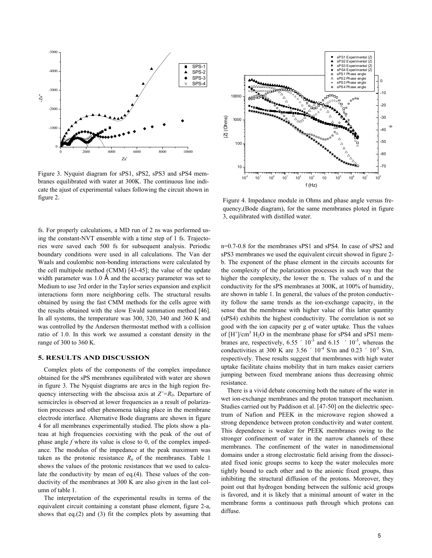

Figure 3. Nyquist diagram for sPS1, sPS2, sPS3 and sPS4 membranes equilibrated with water at 300K. The continuous line indicate the ajust of experimental values following the circuit shown in figure 2.

fs. For properly calculations, a MD run of 2 ns was performed using the constant-NVT ensemble with a time step of 1 fs. Trajectories were saved each 500 fs for subsequent analysis. Periodic boundary conditions were used in all calculations. The Van der Waals and coulombic non-bonding interactions were calculated by the cell multipole method (CMM) [43-45]; the value of the update width parameter was  $1.0 \text{ Å}$  and the accuracy parameter was set to Medium to use 3rd order in the Taylor series expansion and explicit interactions form more neighboring cells. The structural results obtained by using the fast CMM methods for the cells agree with the results obtained with the slow Ewald summation method [46]. In all systems, the temperature was 300, 320, 340 and 360 K and was controlled by the Andersen thermostat method with a collision ratio of 1.0. In this work we assumed a constant density in the range of 300 to 360 K.

## **5. RESULTS AND DISCUSSION**

Complex plots of the components of the complex impedance obtained for the sPS membranes equilibrated with water are shown in figure 3. The Nyquist diagrams are arcs in the high region frequency intersecting with the abscissa axis at  $Z'=R_0$ . Departure of semicircles is observed at lower frequencies as a result of polarization processes and other phenomena taking place in the membrane electrode interface. Alternative Bode diagrams are shown in figure 4 for all membranes experimentally studied. The plots show a plateau at high frequencies coexisting with the peak of the out of phase angle *f* where its value is close to 0, of the complex impedance. The modulus of the impedance at the peak maximum was taken as the protonic resistance  $R_0$  of the membranes. Table 1 shows the values of the protonic resistances that we used to calculate the conductivity by mean of eq.(4). These values of the conductivity of the membranes at 300 K are also given in the last column of table 1.

The interpretation of the experimental results in terms of the equivalent circuit containing a constant phase element, figure 2-a, shows that eq.(2) and (3) fit the complex plots by assuming that



Figure 4. Impedance module in Ohms and phase angle versus frequency,(Bode diagram), for the same membranes ploted in figure 3, equilibrated with distilled water.

n=0.7-0.8 for the membranes sPS1 and sPS4. In case of sPS2 and sPS3 membranes we used the equivalent circuit showed in figure 2 b. The exponent of the phase element in the circuits accounts for the complexity of the polarization processes in such way that the higher the complexity, the lower the n. The values of n and the conductivity for the sPS membranes at 300K, at 100% of humidity, are shown in table 1. In general, the values of the proton conductivity follow the same trends as the ion-exchange capacity, in the sense that the membrane with higher value of this latter quantity (sPS4) exhibits the highest conductivity. The correlation is not so good with the ion capacity per g of water uptake. Thus the values of  $[H^{\dagger}]/cm^3$   $H_2O$  in the membrane phase for sPS4 and sPS1 membranes are, respectively,  $6.55 \div 10^{-3}$  and  $6.15 \div 10^{-3}$ , whereas the conductivities at 300 K are 3.56  $\degree$  10<sup>-4</sup> S/m and 0.23  $\degree$  10<sup>-5</sup> S/m, respectively. These results suggest that membranes with high water uptake facilitate chains mobility that in turn makes easier carriers jumping between fixed membrane anions thus decreasing ohmic resistance.

There is a vivid debate concerning both the nature of the water in wet ion-exchange membranes and the proton transport mechanism. Studies carried out by Paddison et al. [47-50] on the dielectric spectrum of Nafion and PEEK in the microwave region showed a strong dependence between proton conductivity and water content. This dependence is weaker for PEEK membranes owing to the stronger confinement of water in the narrow channels of these membranes. The confinement of the water in nanodimensional domains under a strong electrostatic field arising from the dissociated fixed ionic groups seems to keep the water molecules more tightly bound to each other and to the anionic fixed groups, thus inhibiting the structural diffusion of the protons. Moreover, they point out that hydrogen bonding between the sulfonic acid groups is favored, and it is likely that a minimal amount of water in the membrane forms a continuous path through which protons can diffuse.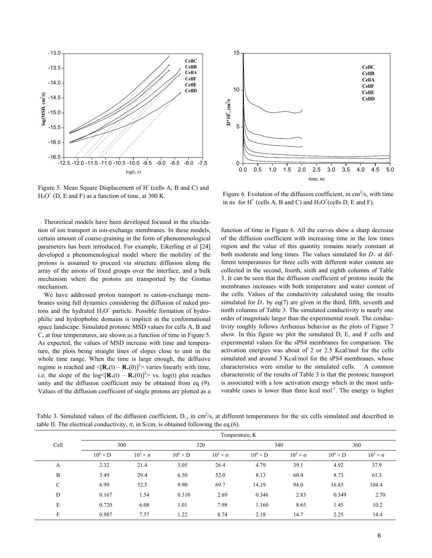

Figure 5. Mean Square Displacement of  $H^+$  (cells A, B and C) and  $H_3O^+$  (D, E and F) as a function of time, at 300 K.



Figure 6. Evolution of the diffusion coefficient, in  $\text{cm}^2\text{/s}$ , with time in ns for  $H^+$  (cells A, B and C) and  $H_3O^+$  (cells D, E and F).

Theoretical models have been developed focused in the elucidation of ion transport in ion-exchange membranes. In these models, certain amount of coarse-graining in the form of phenomenological parameters has been introduced. For example, Eikerling et al [24] developed a phenomenological model where the mobility of the protons is assumed to proceed via structure diffusion along the array of the anions of fixed groups over the interface, and a bulk mechanism where the protons are transported by the Grottus mechanism.

We have addressed proton transport in cation-exchange membranes using full dynamics considering the diffusion of naked protons and the hydrated  $H_3O^+$  particle. Possible formation of hydrophilic and hydrophobic domains is implicit in the conformational space landscape. Simulated protonic MSD values for cells A, B and C, at four temperatures, are shown as a function of time in Figure 5. As expected, the values of MSD increase with time and temperature, the plots being straight lines of slopes close to unit in the whole time range. When the time is large enough, the diffusive regime is reached and  $\langle [\mathbf{R}_+(t) - \mathbf{R}_+(0)]^2 \rangle$  varies linearly with time, i.e. the slope of the  $\log \left( \mathbf{R}_+(t) - \mathbf{R}_+(0) \right]^2$  vs. log(t) plot reaches unity and the diffusion coefficient may be obtained from eq (9). Values of the diffusion coefficient of single protons are plotted as a

function of time in Figure 6. All the curves show a sharp decrease of the diffusion coefficient with increasing time in the low times region and the value of this quantity remains nearly constant at both moderate and long times. The values simulated for  $D_{+}$  at different temperatures for three cells with different water content are collected in the second, fourth, sixth and eighth columns of Table 3. It can be seen that the diffusion coefficient of protons inside the membranes increases with both temperature and water content of the cells. Values of the conductivity calculated using the results simulated for  $D_+$  by eq(7) are given in the third, fifth, seventh and ninth columns of Table 3. The simulated conductivity is nearly one order of magnitude larger than the experimental result. The conductivity roughly follows Arrhenius behavior as the plots of Figure 7 show. In this figure we plot the simulated D, E, and F cells and experimental values for the sPS4 membranes for comparison. The activation energies was about of 2 or 2.5 Kcal/mol for the cells simulated and around 3 Kcal/mol for the sPS4 membranes, whose characteristics were similar to the simulated cells. A common characteristic of the results of Table 3 is that the protonic transport is associated with a low activation energy which in the most unfavorable cases is lower than three kcal mol $^{-1}$ . The energy is higher

Table 3. Simulated values of the diffusion coefficient,  $D_{+}$ , in cm<sup>2</sup>/s, at different temperatures for the six cells simulated and described in table II. The electrical conductivity,  $\sigma$ , in S/cm, is obtained following the eq.(6).

|      | Temperature, K  |                      |                 |                      |                 |                      |                 |                      |  |
|------|-----------------|----------------------|-----------------|----------------------|-----------------|----------------------|-----------------|----------------------|--|
| Cell | 300             |                      | 320             |                      | 340             |                      | 360             |                      |  |
|      | $10^6 \times D$ | $10^3 \times \sigma$ | $10^6 \times D$ | $10^3 \times \sigma$ | $10^6 \times D$ | $10^3 \times \sigma$ | $10^6 \times D$ | $10^3 \times \sigma$ |  |
| A    | 2.32            | 21.4                 | 3.05            | 26.4                 | 4.79            | 39.1                 | 4.92            | 37.9                 |  |
| B    | 3.49            | 29.4                 | 6.50            | 52.0                 | 8.13            | 60.4                 | 8.73            | 61.3                 |  |
| C    | 6.99            | 52.5                 | 9.90            | 69.7                 | 14.19           | 94.0                 | 16.83           | 104.4                |  |
| D    | 0.167           | 1.54                 | 0.310           | 2.69                 | 0.346           | 2.83                 | 0.349           | 2.70                 |  |
| E    | 0.720           | 6.08                 | 1.01            | 7.98                 | 1.160           | 8.65                 | 1.45            | 10.2                 |  |
| F    | 0.987           | 7.57                 | 1.22            | 8.74                 | 2.18            | 14.7                 | 2.25            | 14.4                 |  |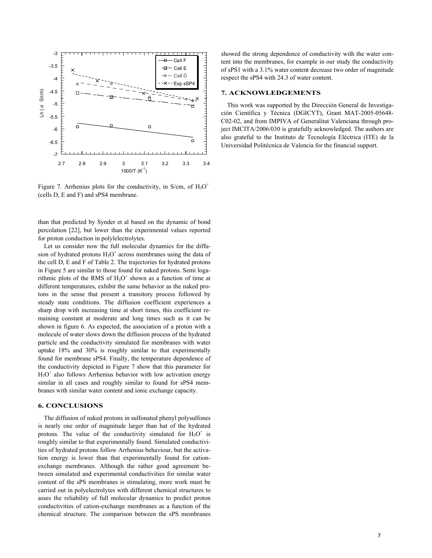

Figure 7. Arrhenius plots for the conductivity, in S/cm, of  $H_3O^+$ (cells D, E and F) and sPS4 membrane.

than that predicted by Synder et al based on the dynamic of bond percolation [22], but lower than the experimental values reported for proton conduction in polylelectrolytes.

Let us consider now the full molecular dynamics for the diffusion of hydrated protons  $H_3O^+$  across membranes using the data of the cell D, E and F of Table 2. The trajectories for hydrated protons in Figure 5 are similar to those found for naked protons. Semi logarithmic plots of the RMS of  $H_3O^+$  shown as a function of time at different temperatures, exhibit the same behavior as the naked protons in the sense that present a transitory process followed by steady state conditions. The diffusion coefficient experiences a sharp drop with increasing time at short times, this coefficient remaining constant at moderate and long times such as it can be shown in figure 6. As expected, the association of a proton with a molecule of water slows down the diffusion process of the hydrated particle and the conductivity simulated for membranes with water uptake 18% and 30% is roughly similar to that experimentally found for membrane sPS4. Finally, the temperature dependence of the conductivity depicted in Figure 7 show that this parameter for  $H<sub>3</sub>O<sup>+</sup>$  also follows Arrhenius behavior with low activation energy similar in all cases and roughly similar to found for sPS4 membranes with similar water content and ionic exchange capacity.

### **6. CONCLUSIONS**

The diffusion of naked protons in sulfonated phenyl polysulfones is nearly one order of magnitude larger than hat of the hydrated protons. The value of the conductivity simulated for  $H_3O^+$  is roughly similar to that experimentally found. Simulated conductivities of hydrated protons follow Arrhenius behaviour, but the activation energy is lower than that experimentally found for cationexchange membranes. Although the rather good agreement between simulated and experimental conductivities for similar water content of the sPS membranes is stimulating, more work must be carried out in polyelectrolytes with different chemical structures to asses the reliability of full molecular dynamics to predict proton conductivities of cation-exchange membranes as a function of the chemical structure. The comparison between the sPS membranes

showed the strong dependence of conductivity with the water content into the membranes, for example in our study the conductivity of sPS1 with a 3.1% water content decrease two order of magnitude respect the sPS4 with 24.3 of water content.

# **7. ACKNOWLEDGEMENTS**

This work was supported by the Dirección General de Investigación Científica y Técnica (DGICYT), Grant MAT-2005-05648- C02-02, and from IMPIVA of Generalitat Valenciana through project IMCITA/2006/030 is gratefully acknowledged. The authors are also grateful to the Instituto de Tecnología Eléctrica (ITE) de la Universidad Politécnica de Valencia for the financial support.